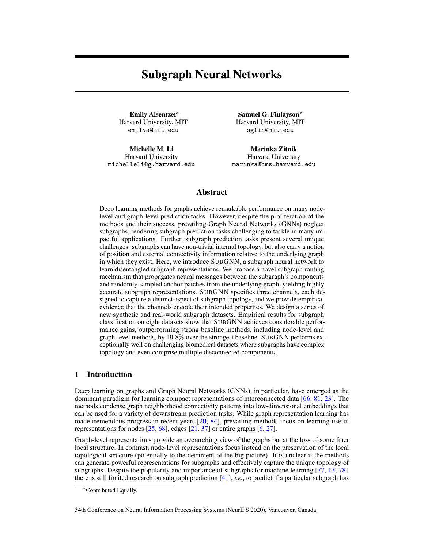# <span id="page-0-6"></span><span id="page-0-1"></span>Subgraph Neural Networks

Emily Alsentzer<sup>\*</sup> Harvard University, MIT emilya@mit.edu

<span id="page-0-7"></span>Michelle M. Li Harvard University michelleli@g.harvard.edu

Samuel G. Finlayson<sup>\*</sup> Harvard University, MIT sgfin@mit.edu

Marinka Zitnik Harvard University marinka@hms.harvard.edu

## Abstract

Deep learning methods for graphs achieve remarkable performance on many nodelevel and graph-level prediction tasks. However, despite the proliferation of the methods and their success, prevailing Graph Neural Networks (GNNs) neglect subgraphs, rendering subgraph prediction tasks challenging to tackle in many impactful applications. Further, subgraph prediction tasks present several unique challenges: subgraphs can have non-trivial internal topology, but also carry a notion of position and external connectivity information relative to the underlying graph in which they exist. Here, we introduce SUBGNN, a subgraph neural network to learn disentangled subgraph representations. We propose a novel subgraph routing mechanism that propagates neural messages between the subgraph's components and randomly sampled anchor patches from the underlying graph, yielding highly accurate subgraph representations. SUBGNN specifies three channels, each designed to capture a distinct aspect of subgraph topology, and we provide empirical evidence that the channels encode their intended properties. We design a series of new synthetic and real-world subgraph datasets. Empirical results for subgraph classification on eight datasets show that SUBGNN achieves considerable performance gains, outperforming strong baseline methods, including node-level and graph-level methods, by 19*.*8% over the strongest baseline. SUBGNN performs exceptionally well on challenging biomedical datasets where subgraphs have complex topology and even comprise multiple disconnected components.

# <span id="page-0-4"></span><span id="page-0-2"></span>1 Introduction

<span id="page-0-5"></span>Deep learning on graphs and Graph Neural Networks (GNNs), in particular, have emerged as the dominant paradigm for learning compact representations of interconnected data [\[66,](#page-12-0) [81,](#page-12-1) [23\]](#page-10-0). The methods condense graph neighborhood connectivity patterns into low-dimensional embeddings that can be used for a variety of downstream prediction tasks. While graph representation learning has made tremendous progress in recent years [\[20,](#page-10-1) [84\]](#page-12-2), prevailing methods focus on learning useful representations for nodes  $[25, 68]$  $[25, 68]$  $[25, 68]$ , edges  $[21, 37]$  $[21, 37]$  $[21, 37]$  or entire graphs  $[6, 27]$  $[6, 27]$  $[6, 27]$ .

<span id="page-0-3"></span>Graph-level representations provide an overarching view of the graphs but at the loss of some finer local structure. In contrast, node-level representations focus instead on the preservation of the local topological structure (potentially to the detriment of the big picture). It is unclear if the methods can generate powerful representations for subgraphs and effectively capture the unique topology of subgraphs. Despite the popularity and importance of subgraphs for machine learning [\[77,](#page-12-4) [13,](#page-10-6) [78\]](#page-12-5), there is still limited research on subgraph prediction [\[41\]](#page-11-0), *i.e.*, to predict if a particular subgraph has

<span id="page-0-0"></span><sup>⇤</sup>Contributed Equally.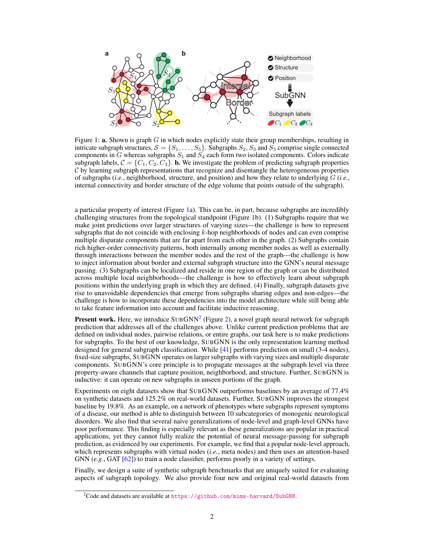

<span id="page-1-0"></span>Figure 1: a. Shown is graph *G* in which nodes explicitly state their group memberships, resulting in intricate subgraph structures,  $S = \{S_1, \ldots, S_5\}$ . Subgraphs  $S_2, S_3$  and  $S_5$  comprise single connected components in *G* whereas subgraphs  $S_1$  and  $S_4$  each form two isolated components. Colors indicate subgraph labels,  $C = \{C_1, C_2, C_3\}$ . **b.** We investigate the problem of predicting subgraph properties *C* by learning subgraph representations that recognize and disentangle the heterogeneous properties of subgraphs (*i.e.*, neighborhood, structure, and position) and how they relate to underlying *G* (*i.e.*, internal connectivity and border structure of the edge volume that points outside of the subgraph).

a particular property of interest (Figure [1a](#page-1-0)). This can be, in part, because subgraphs are incredibly challenging structures from the topological standpoint (Figure [1b](#page-1-0)). (1) Subgraphs require that we make joint predictions over larger structures of varying sizes—the challenge is how to represent subgraphs that do not coincide with enclosing *k*-hop neighborhoods of nodes and can even comprise multiple disparate components that are far apart from each other in the graph. (2) Subgraphs contain rich higher-order connectivity patterns, both internally among member nodes as well as externally through interactions between the member nodes and the rest of the graph—the challenge is how to inject information about border and external subgraph structure into the GNN's neural message passing. (3) Subgraphs can be localized and reside in one region of the graph or can be distributed across multiple local neighborhoods—the challenge is how to effectively learn about subgraph positions within the underlying graph in which they are defined. (4) Finally, subgraph datasets give rise to unavoidable dependencies that emerge from subgraphs sharing edges and non-edges—the challenge is how to incorporate these dependencies into the model architecture while still being able to take feature information into account and facilitate inductive reasoning.

**Present work.** Here, we introduce  $SUBGNN<sup>2</sup>$  $SUBGNN<sup>2</sup>$  $SUBGNN<sup>2</sup>$  (Figure [2\)](#page-4-0), a novel graph neural network for subgraph prediction that addresses all of the challenges above. Unlike current prediction problems that are defined on individual nodes, pairwise relations, or entire graphs, our task here is to make predictions for subgraphs. To the best of our knowledge, SUBGNN is the only representation learning method designed for general subgraph classification. While [\[41\]](#page-11-0) performs prediction on small (3-4 nodes), fixed-size subgraphs, SUBGNN operates on larger subgraphs with varying sizes and multiple disparate components. SUBGNN's core principle is to propagate messages at the subgraph level via three property-aware channels that capture position, neighborhood, and structure. Further, SUBGNN is inductive: it can operate on new subgraphs in unseen portions of the graph.

Experiments on eight datasets show that SUBGNN outperforms baselines by an average of 77.4% on synthetic datasets and 125.2% on real-world datasets. Further, SUBGNN improves the strongest baseline by 19.8%. As an example, on a network of phenotypes where subgraphs represent symptoms of a disease, our method is able to distinguish between 10 subcategories of monogenic neurological disorders. We also find that several naive generalizations of node-level and graph-level GNNs have poor performance. This finding is especially relevant as these generalizations are popular in practical applications, yet they cannot fully realize the potential of neural message-passing for subgraph prediction, as evidenced by our experiments. For example, we find that a popular node-level approach, which represents subgraphs with virtual nodes (*i.e.*, meta nodes) and then uses an attention-based GNN (*e.g.*, GAT [\[62\]](#page-11-1)) to train a node classifier, performs poorly in a variety of settings.

Finally, we design a suite of synthetic subgraph benchmarks that are uniquely suited for evaluating aspects of subgraph topology. We also provide four new and original real-world datasets from

<span id="page-1-1"></span> $^{2}$ Code and datasets are available at <https://github.com/mims-harvard/SubGNN>.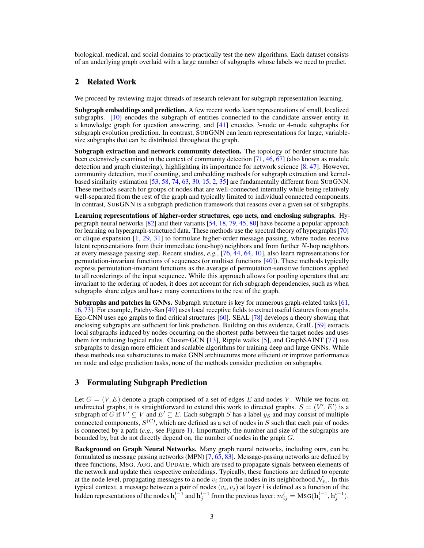biological, medical, and social domains to practically test the new algorithms. Each dataset consists of an underlying graph overlaid with a large number of subgraphs whose labels we need to predict.

## 2 Related Work

We proceed by reviewing major threads of research relevant for subgraph representation learning.

Subgraph embeddings and prediction. A few recent works learn representations of small, localized subgraphs. [\[10\]](#page-9-1) encodes the subgraph of entities connected to the candidate answer entity in a knowledge graph for question answering, and [\[41\]](#page-11-0) encodes 3-node or 4-node subgraphs for subgraph evolution prediction. In contrast, SUBGNN can learn representations for large, variablesize subgraphs that can be distributed throughout the graph.

Subgraph extraction and network community detection. The topology of border structure has been extensively examined in the context of community detection [\[71,](#page-12-6) [46,](#page-11-2) [67\]](#page-12-7) (also known as module detection and graph clustering), highlighting its importance for network science [\[8,](#page-9-2) [47\]](#page-11-3). However, community detection, motif counting, and embedding methods for subgraph extraction and kernelbased similarity estimation [\[53,](#page-11-4) [58,](#page-11-5) [74,](#page-12-8) [63,](#page-11-6) [30,](#page-10-7) [15,](#page-10-8) [2,](#page-9-3) [35\]](#page-10-9) are fundamentally different from SUBGNN. These methods search for groups of nodes that are well-connected internally while being relatively well-separated from the rest of the graph and typically limited to individual connected components. In contrast, SUBGNN is a subgraph prediction framework that reasons over a given set of subgraphs.

Learning representations of higher-order structures, ego nets, and enclosing subgraphs. Hypergraph neural networks [\[82\]](#page-12-9) and their variants [\[54,](#page-11-7) [18,](#page-10-10) [79,](#page-12-10) [45,](#page-11-8) [80\]](#page-12-11) have become a popular approach for learning on hypergraph-structured data. These methods use the spectral theory of hypergraphs [\[70\]](#page-12-12) or clique expansion [\[1,](#page-9-4) [29,](#page-10-11) [31\]](#page-10-12) to formulate higher-order message passing, where nodes receive latent representations from their immediate (one-hop) neighbors and from further *N*-hop neighbors at every message passing step. Recent studies, *e.g.*, [\[76,](#page-12-13) [44,](#page-11-9) [64,](#page-11-10) [10\]](#page-9-1), also learn representations for permutation-invariant functions of sequences (or multiset functions [\[40\]](#page-11-11)). These methods typically express permutation-invariant functions as the average of permutation-sensitive functions applied to all reorderings of the input sequence. While this approach allows for pooling operators that are invariant to the ordering of nodes, it does not account for rich subgraph dependencies, such as when subgraphs share edges and have many connections to the rest of the graph.

Subgraphs and patches in GNNs. Subgraph structure is key for numerous graph-related tasks [\[61,](#page-11-12) [16,](#page-10-13) [73\]](#page-12-14). For example, Patchy-San [\[49\]](#page-11-13) uses local receptive fields to extract useful features from graphs. Ego-CNN uses ego graphs to find critical structures [\[60\]](#page-11-14). SEAL [\[78\]](#page-12-5) develops a theory showing that enclosing subgraphs are sufficient for link prediction. Building on this evidence, GraIL [\[59\]](#page-11-15) extracts local subgraphs induced by nodes occurring on the shortest paths between the target nodes and uses them for inducing logical rules. Cluster-GCN [\[13\]](#page-10-6), Ripple walks [\[5\]](#page-9-5), and GraphSAINT [\[77\]](#page-12-4) use subgraphs to design more efficient and scalable algorithms for training deep and large GNNs. While these methods use substructures to make GNN architectures more efficient or improve performance on node and edge prediction tasks, none of the methods consider prediction on subgraphs.

## 3 Formulating Subgraph Prediction

Let  $G = (V, E)$  denote a graph comprised of a set of edges E and nodes V. While we focus on undirected graphs, it is straightforward to extend this work to directed graphs.  $S = (V', E')$  is a subgraph of *G* if  $V' \subseteq V$  and  $E' \subseteq E$ . Each subgraph *S* has a label  $y_S$  and may consist of multiple connected components,  $S^{(C)}$ , which are defined as a set of nodes in  $S$  such that each pair of nodes is connected by a path (*e.g.*, see Figure [1\)](#page-1-0). Importantly, the number and size of the subgraphs are bounded by, but do not directly depend on, the number of nodes in the graph *G*.

Background on Graph Neural Networks. Many graph neural networks, including ours, can be formulated as message passing networks (MPN) [\[7,](#page-9-6) [65,](#page-11-16) [83\]](#page-12-15). Message-passing networks are defined by three functions, MSG, AGG, and UPDATE, which are used to propagate signals between elements of the network and update their respective embeddings. Typically, these functions are defined to operate at the node level, propagating messages to a node  $v_i$  from the nodes in its neighborhood  $\mathcal{N}_{v_i}$ . In this typical context, a message between a pair of nodes (*vi, v<sup>j</sup>* ) at layer *l* is defined as a function of the hidden representations of the nodes  $\mathbf{h}_i^{l-1}$  and  $\mathbf{h}_j^{l-1}$  from the previous layer:  $m_{ij}^l = \text{MSG}(\mathbf{h}_i^{l-1}, \mathbf{h}_j^{l-1})$ .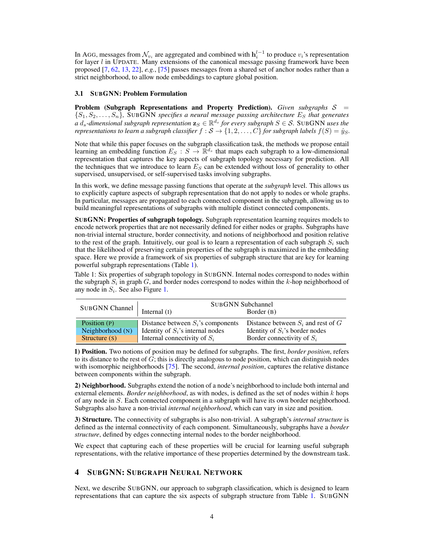In AGG, messages from  $\mathcal{N}_{v_i}$  are aggregated and combined with  $\mathbf{h}_i^{l-1}$  to produce  $v_i$ 's representation for layer *l* in UPDATE. Many extensions of the canonical message passing framework have been proposed [\[7,](#page-9-6) [62,](#page-11-1) [13,](#page-10-6) [22\]](#page-10-14), *e.g.*, [\[75\]](#page-12-16) passes messages from a shared set of anchor nodes rather than a strict neighborhood, to allow node embeddings to capture global position.

#### 3.1 SUBGNN: Problem Formulation

Problem (Subgraph Representations and Property Prediction). *Given subgraphs*  $S =$  ${S_1, S_2, \ldots, S_n}$ *,* SUBGNN specifies a neural message passing architecture  $E_s$  that generates *a d*<sub>*s*</sub>-dimensional subgraph representation  $\mathbf{z}_S \in \mathbb{R}^{d_s}$  for every subgraph  $S \in \mathcal{S}$ . SUBGNN *uses the representations to learn a subgraph classifier*  $f : \mathcal{S} \to \{1, 2, \ldots, C\}$  *for subgraph labels*  $f(S) = \hat{y}_S$ *.* 

Note that while this paper focuses on the subgraph classification task, the methods we propose entail learning an embedding function  $E_S : S \to \mathbb{R}^{d_s}$  that maps each subgraph to a low-dimensional representation that captures the key aspects of subgraph topology necessary for prediction. All the techniques that we introduce to learn *E<sup>S</sup>* can be extended without loss of generality to other supervised, unsupervised, or self-supervised tasks involving subgraphs.

In this work, we define message passing functions that operate at the *subgraph* level. This allows us to explicitly capture aspects of subgraph representation that do not apply to nodes or whole graphs. In particular, messages are propagated to each connected component in the subgraph, allowing us to build meaningful representations of subgraphs with multiple distinct connected components.

SUBGNN: Properties of subgraph topology. Subgraph representation learning requires models to encode network properties that are not necessarily defined for either nodes or graphs. Subgraphs have non-trivial internal structure, border connectivity, and notions of neighborhood and position relative to the rest of the graph. Intuitively, our goal is to learn a representation of each subgraph  $S_i$  such that the likelihood of preserving certain properties of the subgraph is maximized in the embedding space. Here we provide a framework of six properties of subgraph structure that are key for learning powerful subgraph representations (Table [1\)](#page-3-0).

<span id="page-3-0"></span>Table 1: Six properties of subgraph topology in SUBGNN. Internal nodes correspond to nodes within the subgraph *S<sup>i</sup>* in graph *G*, and border nodes correspond to nodes within the *k*-hop neighborhood of any node in *Si*. See also Figure [1.](#page-1-0)

| <b>SUBGNN Channel</b> | <b>SUBGNN Subchannel</b>             |                                        |  |
|-----------------------|--------------------------------------|----------------------------------------|--|
|                       | Internal $(I)$                       | Border $(B)$                           |  |
| Position (P)          | Distance between $S_i$ 's components | Distance between $S_i$ and rest of $G$ |  |
| Neighborhood $(N)$    | Identity of $S_i$ 's internal nodes  | Identity of $S_i$ 's border nodes      |  |
| Structure $(s)$       | Internal connectivity of $S_i$       | Border connectivity of $S_i$           |  |

1) Position. Two notions of position may be defined for subgraphs. The first, *border position*, refers to its distance to the rest of *G*; this is directly analogous to node position, which can distinguish nodes with isomorphic neighborhoods [\[75\]](#page-12-16). The second, *internal position*, captures the relative distance between components within the subgraph.

2) Neighborhood. Subgraphs extend the notion of a node's neighborhood to include both internal and external elements. *Border neighborhood*, as with nodes, is defined as the set of nodes within *k* hops of any node in *S*. Each connected component in a subgraph will have its own border neighborhood. Subgraphs also have a non-trivial *internal neighborhood*, which can vary in size and position.

3) Structure. The connectivity of subgraphs is also non-trivial. A subgraph's *internal structure* is defined as the internal connectivity of each component. Simultaneously, subgraphs have a *border structure*, defined by edges connecting internal nodes to the border neighborhood.

We expect that capturing each of these properties will be crucial for learning useful subgraph representations, with the relative importance of these properties determined by the downstream task.

# 4 SUBGNN: SUBGRAPH NEURAL NETWORK

Next, we describe SUBGNN, our approach to subgraph classification, which is designed to learn representations that can capture the six aspects of subgraph structure from Table [1.](#page-3-0) SUBGNN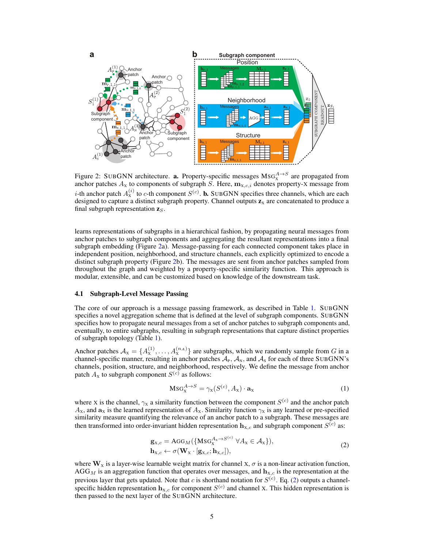

<span id="page-4-0"></span>Figure 2: SUBGNN architecture. **a.** Property-specific messages  $\text{MSG}_{X}^{A \rightarrow S}$  are propagated from anchor patches  $A_X$  to components of subgraph *S*. Here,  $\mathbf{m}_{X,c,i}$  denotes property-X message from *i*-th anchor patch  $A_{\rm X}^{(i)}$  to *c*-th component  $S^{(c)}$ . **b.** SUBGNN specifies three channels, which are each designed to capture a distinct subgraph property. Channel outputs  $z<sub>x</sub>$  are concatenated to produce a final subgraph representation z*S*.

learns representations of subgraphs in a hierarchical fashion, by propagating neural messages from anchor patches to subgraph components and aggregating the resultant representations into a final subgraph embedding (Figure [2a](#page-4-0)). Message-passing for each connected component takes place in independent position, neighborhood, and structure channels, each explicitly optimized to encode a distinct subgraph property (Figure [2b](#page-4-0)). The messages are sent from anchor patches sampled from throughout the graph and weighted by a property-specific similarity function. This approach is modular, extensible, and can be customized based on knowledge of the downstream task.

#### 4.1 Subgraph-Level Message Passing

The core of our approach is a message passing framework, as described in Table [1.](#page-3-0) SUBGNN specifies a novel aggregation scheme that is defined at the level of subgraph components. SUBGNN specifies how to propagate neural messages from a set of anchor patches to subgraph components and, eventually, to entire subgraphs, resulting in subgraph representations that capture distinct properties of subgraph topology (Table [1\)](#page-3-0).

Anchor patches  $A_X = \{A_X^{(1)}, \ldots, A_X^{(n_A)}\}$  are subgraphs, which we randomly sample from *G* in a channel-specific manner, resulting in anchor patches  $A_{P}$ ,  $A_{N}$ , and  $A_{S}$  for each of three SUBGNN's channels, position, structure, and neighborhood, respectively. We define the message from anchor patch  $A_X$  to subgraph component  $S^{(c)}$  as follows:

$$
MSG_X^{A \to S} = \gamma_X(S^{(c)}, A_X) \cdot \mathbf{a}_X \tag{1}
$$

where X is the channel,  $\gamma_x$  a similarity function between the component  $S^{(c)}$  and the anchor patch  $A_X$ , and  $\mathbf{a}_X$  is the learned representation of  $A_X$ . Similarity function  $\gamma_X$  is any learned or pre-specified similarity measure quantifying the relevance of an anchor patch to a subgraph. These messages are then transformed into order-invariant hidden representation  $h_{x,c}$  and subgraph component  $S^{(c)}$  as:

$$
\mathbf{g}_{\mathbf{x},c} = \mathbf{A}\mathbf{G}\mathbf{G}_{M}(\{\mathbf{M}\mathbf{S}\mathbf{G}_{\mathbf{x}}^{A_{\mathbf{x}} \to S^{(c)}} \ \forall A_{\mathbf{x}} \in \mathcal{A}_{\mathbf{x}}\}),
$$
\n
$$
\mathbf{h}_{\mathbf{x},c} \leftarrow \sigma(\mathbf{W}_{\mathbf{x}} \cdot [\mathbf{g}_{\mathbf{x},c}; \mathbf{h}_{\mathbf{x},c}]),
$$
\n(2)

<span id="page-4-1"></span>where  $W_x$  is a layer-wise learnable weight matrix for channel  $x, \sigma$  is a non-linear activation function,  $AGG_M$  is an aggregation function that operates over messages, and  $\mathbf{h}_{X,c}$  is the representation at the previous layer that gets updated. Note that *c* is shorthand notation for *S*(*c*) . Eq. [\(2\)](#page-4-1) outputs a channelspecific hidden representation  $h_{X,c}$  for component  $S^{(c)}$  and channel X. This hidden representation is then passed to the next layer of the SUBGNN architecture.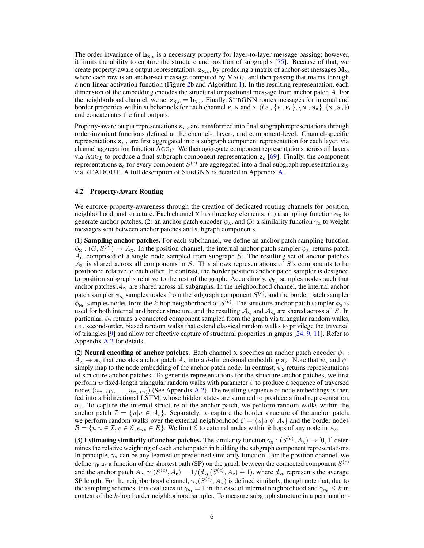The order invariance of  $h_{X,c}$  is a necessary property for layer-to-layer message passing; however, it limits the ability to capture the structure and position of subgraphs [\[75\]](#page-12-16). Because of that, we create property-aware output representations,  $z_{X,c}$ , by producing a matrix of anchor-set messages  $M_X$ , where each row is an anchor-set message computed by  $MSG_X$ , and then passing that matrix through a non-linear activation function (Figure [2b](#page-4-0) and Algorithm [1\)](#page-0-0). In the resulting representation, each dimension of the embedding encodes the structural or positional message from anchor patch *A*. For the neighborhood channel, we set  $z_{N,c} = h_{N,c}$ . Finally, SUBGNN routes messages for internal and border properties within subchannels for each channel P, N and S,  $(i.e., \{P_I, P_B\}, \{N_I, N_B\}, \{S_I, S_B\})$ and concatenates the final outputs.

Property-aware output representations  $z_{X,c}$  are transformed into final subgraph representations through order-invariant functions defined at the channel-, layer-, and component-level. Channel-specific representations  $z_{X,c}$  are first aggregated into a subgraph component representation for each layer, via channel aggregation function AGG*<sup>C</sup>* . We then aggregate component representations across all layers via AGG*<sup>L</sup>* to produce a final subgraph component representation z*<sup>c</sup>* [\[69\]](#page-12-17). Finally, the component representations  $z_c$  for every component  $S^{(c)}$  are aggregated into a final subgraph representation  $z_S$ via READOUT. A full description of SUBGNN is detailed in Appendix [A.](#page-0-1)

#### 4.2 Property-Aware Routing

We enforce property-awareness through the creation of dedicated routing channels for position, neighborhood, and structure. Each channel X has three key elements: (1) a sampling function  $\phi_x$  to generate anchor patches, (2) an anchor patch encoder  $\psi_x$ , and (3) a similarity function  $\gamma_x$  to weight messages sent between anchor patches and subgraph components.

(1) Sampling anchor patches. For each subchannel, we define an anchor patch sampling function  $\phi_{X} : (G, S^{(c)}) \to A_{X}$ . In the position channel, the internal anchor patch sampler  $\phi_{P_1}$  returns patch  $A_{P_1}$  comprised of a single node sampled from subgraph *S*. The resulting set of anchor patches  $A_{P_1}$  is shared across all components in *S*. This allows representations of *S*'s components to be positioned relative to each other. In contrast, the border position anchor patch sampler is designed to position subgraphs relative to the rest of the graph. Accordingly,  $\phi_{P_B}$  samples nodes such that anchor patches  $A_{P_B}$  are shared across all subgraphs. In the neighborhood channel, the internal anchor patch sampler  $\phi_{\text{N}_1}$  samples nodes from the subgraph component  $S^{(c)}$ , and the border patch sampler  $\phi_{N_B}$  samples nodes from the *k*-hop neighborhood of  $S^{(c)}$ . The structure anchor patch sampler  $\phi_s$  is used for both internal and border structure, and the resulting  $A_{S_1}$  and  $A_{S_2}$  are shared across all *S*. In particular,  $\phi_s$  returns a connected component sampled from the graph via triangular random walks, *i.e.*, second-order, biased random walks that extend classical random walks to privilege the traversal of triangles [\[9\]](#page-9-7) and allow for effective capture of structural properties in graphs [\[24,](#page-10-15) [9,](#page-9-7) [11\]](#page-10-16). Refer to Appendix [A.2](#page-0-1) for details.

(2) Neural encoding of anchor patches. Each channel X specifies an anchor patch encoder  $\psi_x$ :  $A_X \to a_X$  that encodes anchor patch  $A_X$  into a *d*-dimensional embedding  $a_X$ . Note that  $\psi_N$  and  $\psi_P$ simply map to the node embedding of the anchor patch node. In contrast,  $\psi_{\rm S}$  returns representations of structure anchor patches. To generate representations for the structure anchor patches, we first perform *w* fixed-length triangular random walks with parameter  $\beta$  to produce a sequence of traversed nodes  $(u_{\pi_w(1)},...,u_{\pi_w(n)})$  (See Appendix [A.2\)](#page-0-1). The resulting sequence of node embeddings is then fed into a bidirectional LSTM, whose hidden states are summed to produce a final representation,  $a<sub>s</sub>$ . To capture the internal structure of the anchor patch, we perform random walks within the anchor patch  $\mathcal{I} = \{u | u \in A_s\}$ . Separately, to capture the border structure of the anchor patch, we perform random walks over the external neighborhood  $\mathcal{E} = \{u | u \notin A_s\}$  and the border nodes  $\mathcal{B} = \{u | u \in \mathcal{I}, v \in \mathcal{E}, e_{uv} \in E\}$ . We limit  $\mathcal{E}$  to external nodes within *k* hops of any node in  $A_s$ .

(3) Estimating similarity of anchor patches. The similarity function  $\gamma_X : (S^{(c)}, A_X) \to [0, 1]$  determines the relative weighting of each anchor patch in building the subgraph component representations. In principle,  $\gamma_x$  can be any learned or predefined similarity function. For the position channel, we define  $\gamma_P$  as a function of the shortest path (SP) on the graph between the connected component *S*<sup>(*c*)</sup> and the anchor patch  $A_{\rm P}$ ,  $\gamma_{\rm P}(S^{(c)}, A_{\rm P})=1/(d_{sp}(S^{(c)}, A_{\rm P})+1)$ , where  $d_{sp}$  represents the average SP length. For the neighborhood channel,  $\gamma_N(S^{(c)}, A_N)$  is defined similarly, though note that, due to the sampling schemes, this evaluates to  $\gamma_{N_I} = 1$  in the case of internal neighborhood and  $\gamma_{N_B} \leq k$  in context of the *k*-hop border neighborhood sampler. To measure subgraph structure in a permutation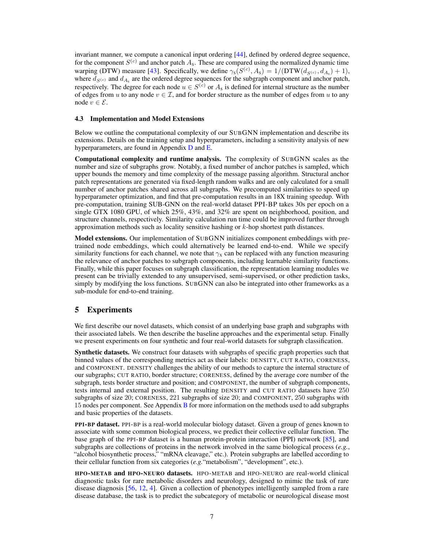invariant manner, we compute a canonical input ordering [\[44\]](#page-11-9), defined by ordered degree sequence, for the component  $S^{(c)}$  and anchor patch  $A_s$ . These are compared using the normalized dynamic time warping (DTW) measure [\[43\]](#page-11-17). Specifically, we define  $\gamma_s(S^{(c)}, A_s) = 1/(\text{DTW}(d_{S^{(c)}}, d_{A_s}) + 1)$ , where  $d_{S^{(c)}}$  and  $d_{A_s}$  are the ordered degree sequences for the subgraph component and anchor patch, respectively. The degree for each node  $u \in S^{(c)}$  or  $A_s$  is defined for internal structure as the number of edges from *u* to any node  $v \in \mathcal{I}$ , and for border structure as the number of edges from *u* to any node  $v \in \mathcal{E}$ .

#### 4.3 Implementation and Model Extensions

Below we outline the computational complexity of our SUBGNN implementation and describe its extensions. Details on the training setup and hyperparameters, including a sensitivity analysis of new hyperparameters, are found in Appendix [D](#page-0-2) and [E.](#page-0-3)

Computational complexity and runtime analysis. The complexity of SUBGNN scales as the number and size of subgraphs grow. Notably, a fixed number of anchor patches is sampled, which upper bounds the memory and time complexity of the message passing algorithm. Structural anchor patch representations are generated via fixed-length random walks and are only calculated for a small number of anchor patches shared across all subgraphs. We precomputed similarities to speed up hyperparameter optimization, and find that pre-computation results in an 18X training speedup. With pre-computation, training SUB-GNN on the real-world dataset PPI-BP takes 30s per epoch on a single GTX 1080 GPU, of which 25%, 43%, and 32% are spent on neighborhood, position, and structure channels, respectively. Similarity calculation run time could be improved further through approximation methods such as locality sensitive hashing or *k*-hop shortest path distances.

Model extensions. Our implementation of SUBGNN initializes component embeddings with pretrained node embeddings, which could alternatively be learned end-to-end. While we specify similarity functions for each channel, we note that  $\gamma_x$  can be replaced with any function measuring the relevance of anchor patches to subgraph components, including learnable similarity functions. Finally, while this paper focuses on subgraph classification, the representation learning modules we present can be trivially extended to any unsupervised, semi-supervised, or other prediction tasks, simply by modifying the loss functions. SUBGNN can also be integrated into other frameworks as a sub-module for end-to-end training.

### 5 Experiments

We first describe our novel datasets, which consist of an underlying base graph and subgraphs with their associated labels. We then describe the baseline approaches and the experimental setup. Finally we present experiments on four synthetic and four real-world datasets for subgraph classification.

Synthetic datasets. We construct four datasets with subgraphs of specific graph properties such that binned values of the corresponding metrics act as their labels: DENSITY, CUT RATIO, CORENESS, and COMPONENT. DENSITY challenges the ability of our methods to capture the internal structure of our subgraphs; CUT RATIO, border structure; CORENESS, defined by the average core number of the subgraph, tests border structure and position; and COMPONENT, the number of subgraph components, tests internal and external position. The resulting DENSITY and CUT RATIO datasets have 250 subgraphs of size 20; CORENESS, 221 subgraphs of size 20; and COMPONENT, 250 subgraphs with 15 nodes per component. See Appendix [B](#page-0-4) for more information on the methods used to add subgraphs and basic properties of the datasets.

PPI-BP dataset. PPI-BP is a real-world molecular biology dataset. Given a group of genes known to associate with some common biological process, we predict their collective cellular function. The base graph of the PPI-BP dataset is a human protein-protein interaction (PPI) network [\[85\]](#page-12-18), and subgraphs are collections of proteins in the network involved in the same biological process (*e.g.*, "alcohol biosynthetic process," "mRNA cleavage," etc.). Protein subgraphs are labelled according to their cellular function from six categories (*e.g.*"metabolism", "development", etc.).

HPO-METAB and HPO-NEURO datasets. HPO-METAB and HPO-NEURO are real-world clinical diagnostic tasks for rare metabolic disorders and neurology, designed to mimic the task of rare disease diagnosis [\[56,](#page-11-18) [12,](#page-10-17) [4\]](#page-9-8). Given a collection of phenotypes intelligently sampled from a rare disease database, the task is to predict the subcategory of metabolic or neurological disease most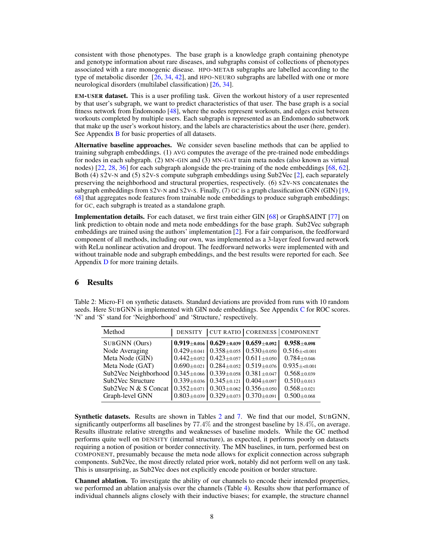consistent with those phenotypes. The base graph is a knowledge graph containing phenotype and genotype information about rare diseases, and subgraphs consist of collections of phenotypes associated with a rare monogenic disease. HPO-METAB subgraphs are labelled according to the type of metabolic disorder  $[26, 34, 42]$  $[26, 34, 42]$  $[26, 34, 42]$  $[26, 34, 42]$  $[26, 34, 42]$ , and HPO-NEURO subgraphs are labelled with one or more neurological disorders (multilabel classification) [\[26,](#page-10-18) [34\]](#page-10-19).

EM-USER dataset. This is a user profiling task. Given the workout history of a user represented by that user's subgraph, we want to predict characteristics of that user. The base graph is a social fitness network from Endomondo [\[48\]](#page-11-20), where the nodes represent workouts, and edges exist between workouts completed by multiple users. Each subgraph is represented as an Endomondo subnetwork that make up the user's workout history, and the labels are characteristics about the user (here, gender). See Appendix **[B](#page-0-4)** for basic properties of all datasets.

Alternative baseline approaches. We consider seven baseline methods that can be applied to training subgraph embeddings. (1) AVG computes the average of the pre-trained node embeddings for nodes in each subgraph. (2) MN-GIN and (3) MN-GAT train meta nodes (also known as virtual nodes) [\[22,](#page-10-14) [28,](#page-10-20) [36\]](#page-10-21) for each subgraph alongside the pre-training of the node embeddings [\[68,](#page-12-3) [62\]](#page-11-1). Both (4) S2V-N and (5) S2V-S compute subgraph embeddings using Sub2Vec [\[2\]](#page-9-3), each separately preserving the neighborhood and structural properties, respectively. (6) S2V-NS concatenates the subgraph embeddings from S2V-N and S2V-S. Finally, (7) GC is a graph classification GNN (GIN) [\[19,](#page-10-22) [68\]](#page-12-3) that aggregates node features from trainable node embeddings to produce subgraph embeddings; for GC, each subgraph is treated as a standalone graph.

Implementation details. For each dataset, we first train either GIN [\[68\]](#page-12-3) or GraphSAINT [\[77\]](#page-12-4) on link prediction to obtain node and meta node embeddings for the base graph. Sub2Vec subgraph embeddings are trained using the authors' implementation [\[2\]](#page-9-3). For a fair comparison, the feedforward component of all methods, including our own, was implemented as a 3-layer feed forward network with ReLu nonlinear activation and dropout. The feedforward networks were implemented with and without trainable node and subgraph embeddings, and the best results were reported for each. See Appendix [D](#page-0-2) for more training details.

## 6 Results

| Method                                                       |                                     |                                                                        |                   | DENSITY   CUT RATIO   CORENESS   COMPONENT |
|--------------------------------------------------------------|-------------------------------------|------------------------------------------------------------------------|-------------------|--------------------------------------------|
| SUBGNN (Ours)                                                |                                     | $\mid 0.919_{\pm 0.016} \mid 0.629_{\pm 0.039} \mid 0.659_{\pm 0.092}$ |                   | $0.958 + 0.098$                            |
| Node Averaging                                               |                                     | $0.429 \pm 0.041$   $0.358 \pm 0.055$   $0.530 \pm 0.050$              |                   | $0.516 + 0.001$                            |
| Meta Node (GIN)                                              |                                     | $0.442 \pm 0.052$   $0.423 \pm 0.057$   $0.611 \pm 0.050$              |                   | $0.784 \pm 0.046$                          |
| Meta Node (GAT)                                              |                                     | $0.690_{\pm 0.021}$   $0.284_{\pm 0.052}$   $0.519_{\pm 0.076}$        |                   | $0.935 + 0.001$                            |
| Sub2Vec Neighborhood $(0.345 \pm 0.066)$ $(0.339 \pm 0.058)$ |                                     |                                                                        | $0.381 \pm 0.047$ | $0.568 \pm 0.039$                          |
| Sub2Vec Structure                                            |                                     | $0.339 \pm 0.036$   $0.345 \pm 0.121$                                  | $0.404 \pm 0.097$ | $0.510 \pm 0.013$                          |
| Sub2Vec N & S Concat                                         | $0.352 \pm 0.071$ $0.303 \pm 0.062$ |                                                                        | $0.356 \pm 0.050$ | $0.568 \pm 0.021$                          |
| Graph-level GNN                                              |                                     | $0.803 \pm 0.039$ 0.329 $\pm$ 0.073                                    | $0.370 \pm 0.091$ | $0.500 \pm 0.068$                          |

<span id="page-7-0"></span>Table 2: Micro-F1 on synthetic datasets. Standard deviations are provided from runs with 10 random seeds. Here SUBGNN is implemented with GIN node embeddings. See Appendix [C](#page-0-5) for ROC scores. 'N' and 'S' stand for 'Neighborhood' and 'Structure,' respectively.

Synthetic datasets. Results are shown in Tables [2](#page-7-0) and [7.](#page-0-6) We find that our model, SUBGNN, significantly outperforms all baselines by 77*.*4% and the strongest baseline by 18*.*4%, on average. Results illustrate relative strengths and weaknesses of baseline models. While the GC method performs quite well on DENSITY (internal structure), as expected, it performs poorly on datasets requiring a notion of position or border connectivity. The MN baselines, in turn, performed best on COMPONENT, presumably because the meta node allows for explicit connection across subgraph components. Sub2Vec, the most directly related prior work, notably did not perform well on any task. This is unsurprising, as Sub2Vec does not explicitly encode position or border structure.

Channel ablation. To investigate the ability of our channels to encode their intended properties, we performed an ablation analysis over the channels (Table [4\)](#page-8-0). Results show that performance of individual channels aligns closely with their inductive biases; for example, the structure channel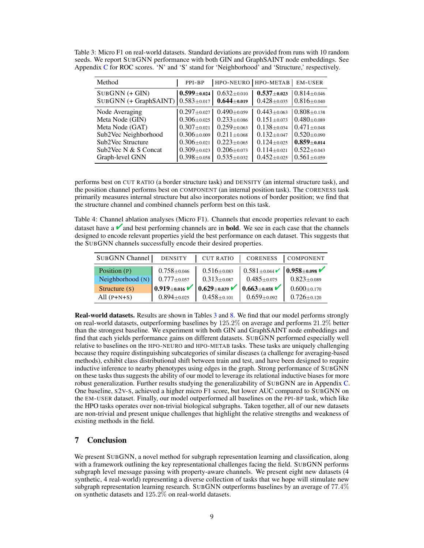| Method                                              | PPI-BP                                    | HPO-NEURO   HPO-METAB |                     | <b>EM-USER</b>    |
|-----------------------------------------------------|-------------------------------------------|-----------------------|---------------------|-------------------|
| $SUBGNN (+ GIN)$                                    | $\mid 0.599 \scriptstyle{\pm 0.024} \mid$ | $0.632 \pm 0.010$     | $0.537_{\pm 0.023}$ | $0.814 + 0.046$   |
| SUBGNN (+ GraphSAINT) $\vert 0.583 \pm 0.017 \vert$ |                                           | $0.644 \pm 0.019$     | $0.428 \pm 0.035$   | $0.816 \pm 0.040$ |
| Node Averaging                                      | $0.297_{\pm 0.027}$                       | $0.490 \pm 0.059$     | $0.443 + 0.063$     | $0.808 + 0.138$   |
| Meta Node (GIN)                                     | $0.306 \pm 0.025$                         | $0.233 \pm 0.086$     | $0.151 \pm 0.073$   | $0.480 + 0.089$   |
| Meta Node (GAT)                                     | $0.307 \pm 0.021$                         | $0.259 + 0.063$       | $0.138 + 0.034$     | $0.471 + 0.048$   |
| Sub2Vec Neighborhood                                | $0.306 \pm 0.009$                         | $0.211 \pm 0.068$     | $0.132 \pm 0.047$   | $0.520 \pm 0.090$ |
| Sub2Vec Structure                                   | $0.306 \pm 0.021$                         | $0.223 \pm 0.065$     | $0.124 \pm 0.025$   | $0.859 \pm 0.014$ |
| Sub2Vec N & S Concat                                | $0.309 \pm 0.023$                         | $0.206 \pm 0.073$     | $0.114 \pm 0.021$   | $0.522 + 0.043$   |
| Graph-level GNN                                     | $0.398 \pm 0.058$                         | $0.535 \pm 0.032$     | $0.452 \pm 0.025$   | $0.561 \pm 0.059$ |

<span id="page-8-1"></span>Table 3: Micro F1 on real-world datasets. Standard deviations are provided from runs with 10 random seeds. We report SUBGNN performance with both GIN and GraphSAINT node embeddings. See Appendix [C](#page-0-5) for ROC scores. 'N' and 'S' stand for 'Neighborhood' and 'Structure,' respectively.

performs best on CUT RATIO (a border structure task) and DENSITY (an internal structure task), and the position channel performs best on COMPONENT (an internal position task). The CORENESS task primarily measures internal structure but also incorporates notions of border position; we find that the structure channel and combined channels perform best on this task.

<span id="page-8-0"></span>Table 4: Channel ablation analyses (Micro F1). Channels that encode properties relevant to each dataset have a  $\blacksquare$  and best performing channels are in **bold**. We see in each case that the channels designed to encode relevant properties yield the best performance on each dataset. This suggests that the SUBGNN channels successfully encode their desired properties.

| SUBGNN Channel   | <b>DENSITY</b>      | <b>CUT RATIO</b>     | CORENESS                           | COMPONENT         |
|------------------|---------------------|----------------------|------------------------------------|-------------------|
| Position (P)     | $0.758 + 0.046$     | $0.516 \pm 0.083$    | $0.581_{\pm 0.044}$ (0.958 ± 0.098 |                   |
| Neighborhood (N) | $0.777_{\pm 0.057}$ | $0.313 \pm 0.087$    | $0.485 + 0.075$                    | $0.823 \pm 0.089$ |
| Structure $(s)$  | $0.919 \pm 0.016$   | $ 0.629_{\pm 0.039}$ | $ 0.663_{\pm 0.058} $              | $0.600 \pm 0.170$ |
| All $(P+N+S)$    | $0.894 \pm 0.025$   | $0.458 \pm 0.101$    | $0.659 \pm 0.092$                  | $0.726 \pm 0.120$ |

Real-world datasets. Results are shown in Tables [3](#page-8-1) and [8.](#page-0-7) We find that our model performs strongly on real-world datasets, outperforming baselines by 125*.*2% on average and performs 21*.*2% better than the strongest baseline. We experiment with both GIN and GraphSAINT node embeddings and find that each yields performance gains on different datasets. SUBGNN performed especially well relative to baselines on the HPO-NEURO and HPO-METAB tasks. These tasks are uniquely challenging because they require distinguishing subcategories of similar diseases (a challenge for averaging-based methods), exhibit class distributional shift between train and test, and have been designed to require inductive inference to nearby phenotypes using edges in the graph. Strong performance of SUBGNN on these tasks thus suggests the ability of our model to leverage its relational inductive biases for more robust generalization. Further results studying the generalizability of SUBGNN are in Appendix [C.](#page-0-5) One baseline, S2V-S, achieved a higher micro F1 score, but lower AUC compared to SUBGNN on the EM-USER dataset. Finally, our model outperformed all baselines on the PPI-BP task, which like the HPO tasks operates over non-trivial biological subgraphs. Taken together, all of our new datasets are non-trivial and present unique challenges that highlight the relative strengths and weakness of existing methods in the field.

## 7 Conclusion

We present SUBGNN, a novel method for subgraph representation learning and classification, along with a framework outlining the key representational challenges facing the field. SUBGNN performs subgraph level message passing with property-aware channels. We present eight new datasets (4 synthetic, 4 real-world) representing a diverse collection of tasks that we hope will stimulate new subgraph representation learning research. SUBGNN outperforms baselines by an average of 77*.*4% on synthetic datasets and 125*.*2% on real-world datasets.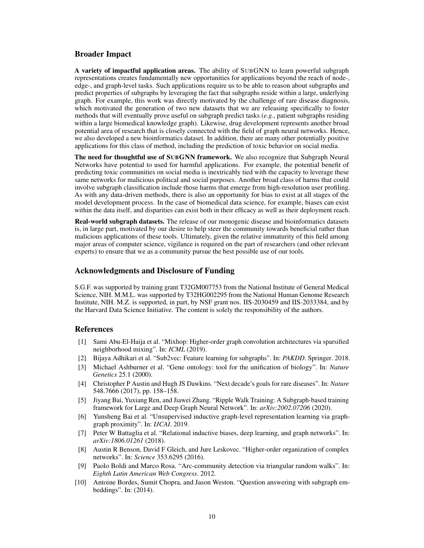## Broader Impact

A variety of impactful application areas. The ability of SUBGNN to learn powerful subgraph representations creates fundamentally new opportunities for applications beyond the reach of node-, edge-, and graph-level tasks. Such applications require us to be able to reason about subgraphs and predict properties of subgraphs by leveraging the fact that subgraphs reside within a large, underlying graph. For example, this work was directly motivated by the challenge of rare disease diagnosis, which motivated the generation of two new datasets that we are releasing specifically to foster methods that will eventually prove useful on subgraph predict tasks (*e.g.*, patient subgraphs residing within a large biomedical knowledge graph). Likewise, drug development represents another broad potential area of research that is closely connected with the field of graph neural networks. Hence, we also developed a new bioinformatics dataset. In addition, there are many other potentially positive applications for this class of method, including the prediction of toxic behavior on social media.

The need for thoughtful use of SUBGNN framework. We also recognize that Subgraph Neural Networks have potential to used for harmful applications. For example, the potential benefit of predicting toxic communities on social media is inextricably tied with the capacity to leverage these same networks for malicious political and social purposes. Another broad class of harms that could involve subgraph classification include those harms that emerge from high-resolution user profiling. As with any data-driven methods, there is also an opportunity for bias to exist at all stages of the model development process. In the case of biomedical data science, for example, biases can exist within the data itself, and disparities can exist both in their efficacy as well as their deployment reach.

Real-world subgraph datasets. The release of our monogenic disease and bioinformatics datasets is, in large part, motivated by our desire to help steer the community towards beneficial rather than malicious applications of these tools. Ultimately, given the relative immaturity of this field among major areas of computer science, vigilance is required on the part of researchers (and other relevant experts) to ensure that we as a community pursue the best possible use of our tools.

## Acknowledgments and Disclosure of Funding

S.G.F. was supported by training grant T32GM007753 from the National Institute of General Medical Science, NIH. M.M.L. was supported by T32HG002295 from the National Human Genome Research Institute, NIH. M.Z. is supported, in part, by NSF grant nos. IIS-2030459 and IIS-2033384, and by the Harvard Data Science Initiative. The content is solely the responsibility of the authors.

## **References**

- <span id="page-9-4"></span>[1] Sami Abu-El-Haija et al. "Mixhop: Higher-order graph convolution architectures via sparsified neighborhood mixing". In: *ICML* (2019).
- <span id="page-9-3"></span>[2] Bijaya Adhikari et al. "Sub2vec: Feature learning for subgraphs". In: *PAKDD*. Springer. 2018.
- [3] Michael Ashburner et al. "Gene ontology: tool for the unification of biology". In: *Nature Genetics* 25.1 (2000).
- <span id="page-9-8"></span>[4] Christopher P Austin and Hugh JS Dawkins. "Next decade's goals for rare diseases". In: *Nature* 548.7666 (2017), pp. 158–158.
- <span id="page-9-5"></span>[5] Jiyang Bai, Yuxiang Ren, and Jiawei Zhang. "Ripple Walk Training: A Subgraph-based training framework for Large and Deep Graph Neural Network". In: *arXiv:2002.07206* (2020).
- <span id="page-9-0"></span>[6] Yunsheng Bai et al. "Unsupervised inductive graph-level representation learning via graphgraph proximity". In: *IJCAI*. 2019.
- <span id="page-9-6"></span>[7] Peter W Battaglia et al. "Relational inductive biases, deep learning, and graph networks". In: *arXiv:1806.01261* (2018).
- <span id="page-9-2"></span>[8] Austin R Benson, David F Gleich, and Jure Leskovec. "Higher-order organization of complex networks". In: *Science* 353.6295 (2016).
- <span id="page-9-7"></span>[9] Paolo Boldi and Marco Rosa. "Arc-community detection via triangular random walks". In: *Eighth Latin American Web Congress*. 2012.
- <span id="page-9-1"></span>[10] Antoine Bordes, Sumit Chopra, and Jason Weston. "Question answering with subgraph embeddings". In: (2014).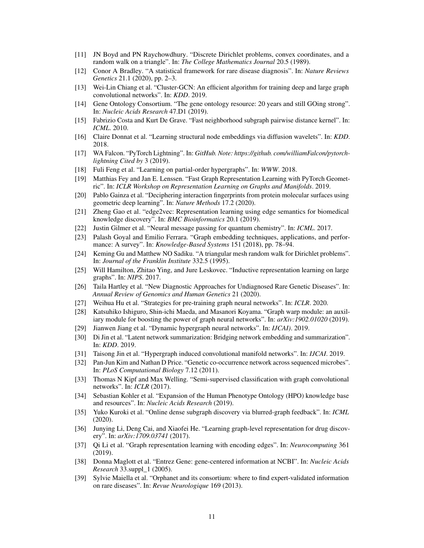- <span id="page-10-16"></span>[11] JN Boyd and PN Raychowdhury. "Discrete Dirichlet problems, convex coordinates, and a random walk on a triangle". In: *The College Mathematics Journal* 20.5 (1989).
- <span id="page-10-17"></span>[12] Conor A Bradley. "A statistical framework for rare disease diagnosis". In: *Nature Reviews Genetics* 21.1 (2020), pp. 2–3.
- <span id="page-10-6"></span>[13] Wei-Lin Chiang et al. "Cluster-GCN: An efficient algorithm for training deep and large graph convolutional networks". In: *KDD*. 2019.
- [14] Gene Ontology Consortium. "The gene ontology resource: 20 years and still GOing strong". In: *Nucleic Acids Research* 47.D1 (2019).
- <span id="page-10-8"></span>[15] Fabrizio Costa and Kurt De Grave. "Fast neighborhood subgraph pairwise distance kernel". In: *ICML*. 2010.
- <span id="page-10-13"></span>[16] Claire Donnat et al. "Learning structural node embeddings via diffusion wavelets". In: *KDD*. 2018.
- [17] WA Falcon. "PyTorch Lightning". In: *GitHub. Note: https://github. com/williamFalcon/pytorchlightning Cited by* 3 (2019).
- <span id="page-10-10"></span>[18] Fuli Feng et al. "Learning on partial-order hypergraphs". In: *WWW*. 2018.
- <span id="page-10-22"></span>[19] Matthias Fey and Jan E. Lenssen. "Fast Graph Representation Learning with PyTorch Geometric". In: *ICLR Workshop on Representation Learning on Graphs and Manifolds*. 2019.
- <span id="page-10-1"></span>[20] Pablo Gainza et al. "Deciphering interaction fingerprints from protein molecular surfaces using geometric deep learning". In: *Nature Methods* 17.2 (2020).
- <span id="page-10-3"></span>[21] Zheng Gao et al. "edge2vec: Representation learning using edge semantics for biomedical knowledge discovery". In: *BMC Bioinformatics* 20.1 (2019).
- <span id="page-10-14"></span>[22] Justin Gilmer et al. "Neural message passing for quantum chemistry". In: *ICML*. 2017.
- <span id="page-10-0"></span>[23] Palash Goyal and Emilio Ferrara. "Graph embedding techniques, applications, and performance: A survey". In: *Knowledge-Based Systems* 151 (2018), pp. 78–94.
- <span id="page-10-15"></span>[24] Keming Gu and Matthew NO Sadiku. "A triangular mesh random walk for Dirichlet problems". In: *Journal of the Franklin Institute* 332.5 (1995).
- <span id="page-10-2"></span>[25] Will Hamilton, Zhitao Ying, and Jure Leskovec. "Inductive representation learning on large graphs". In: *NIPS*. 2017.
- <span id="page-10-18"></span>[26] Taila Hartley et al. "New Diagnostic Approaches for Undiagnosed Rare Genetic Diseases". In: *Annual Review of Genomics and Human Genetics* 21 (2020).
- <span id="page-10-5"></span>[27] Weihua Hu et al. "Strategies for pre-training graph neural networks". In: *ICLR*. 2020.
- <span id="page-10-20"></span>[28] Katsuhiko Ishiguro, Shin-ichi Maeda, and Masanori Koyama. "Graph warp module: an auxiliary module for boosting the power of graph neural networks". In: *arXiv:1902.01020* (2019).
- <span id="page-10-11"></span>[29] Jianwen Jiang et al. "Dynamic hypergraph neural networks". In: *IJCAI)*. 2019.
- <span id="page-10-7"></span>[30] Di Jin et al. "Latent network summarization: Bridging network embedding and summarization". In: *KDD*. 2019.
- <span id="page-10-12"></span>[31] Taisong Jin et al. "Hypergraph induced convolutional manifold networks". In: *IJCAI*. 2019.
- [32] Pan-Jun Kim and Nathan D Price. "Genetic co-occurrence network across sequenced microbes". In: *PLoS Computational Biology* 7.12 (2011).
- [33] Thomas N Kipf and Max Welling. "Semi-supervised classification with graph convolutional networks". In: *ICLR* (2017).
- <span id="page-10-19"></span>[34] Sebastian Kohler et al. "Expansion of the Human Phenotype Ontology (HPO) knowledge base and resources". In: *Nucleic Acids Research* (2019).
- <span id="page-10-9"></span>[35] Yuko Kuroki et al. "Online dense subgraph discovery via blurred-graph feedback". In: *ICML* (2020).
- <span id="page-10-21"></span>[36] Junying Li, Deng Cai, and Xiaofei He. "Learning graph-level representation for drug discovery". In: *arXiv:1709.03741* (2017).
- <span id="page-10-4"></span>[37] Qi Li et al. "Graph representation learning with encoding edges". In: *Neurocomputing* 361 (2019).
- [38] Donna Maglott et al. "Entrez Gene: gene-centered information at NCBI". In: *Nucleic Acids Research* 33.suppl\_1 (2005).
- [39] Sylvie Maiella et al. "Orphanet and its consortium: where to find expert-validated information on rare diseases". In: *Revue Neurologique* 169 (2013).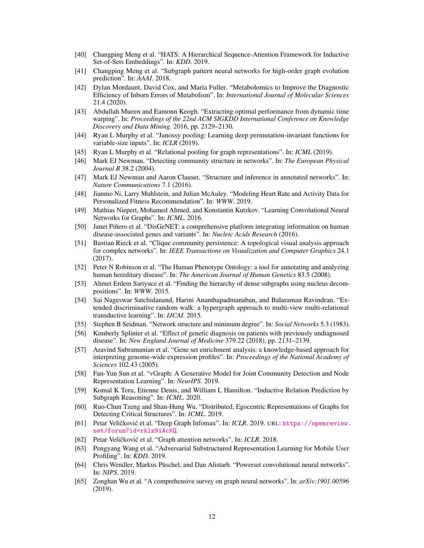- <span id="page-11-11"></span>[40] Changping Meng et al. "HATS: A Hierarchical Sequence-Attention Framework for Inductive Set-of-Sets Embeddings". In: *KDD*. 2019.
- <span id="page-11-0"></span>[41] Changping Meng et al. "Subgraph pattern neural networks for high-order graph evolution prediction". In: *AAAI*. 2018.
- <span id="page-11-19"></span>[42] Dylan Mordaunt, David Cox, and Maria Fuller. "Metabolomics to Improve the Diagnostic Efficiency of Inborn Errors of Metabolism". In: *International Journal of Molecular Sciences* 21.4 (2020).
- <span id="page-11-17"></span>[43] Abdullah Mueen and Eamonn Keogh. "Extracting optimal performance from dynamic time warping". In: *Proceedings of the 22nd ACM SIGKDD International Conference on Knowledge Discovery and Data Mining*. 2016, pp. 2129–2130.
- <span id="page-11-9"></span>[44] Ryan L Murphy et al. "Janossy pooling: Learning deep permutation-invariant functions for variable-size inputs". In: *ICLR* (2019).
- <span id="page-11-8"></span>[45] Ryan L Murphy et al. "Relational pooling for graph representations". In: *ICML* (2019).
- <span id="page-11-2"></span>[46] Mark EJ Newman. "Detecting community structure in networks". In: *The European Physical Journal B* 38.2 (2004).
- <span id="page-11-3"></span>[47] Mark EJ Newman and Aaron Clauset. "Structure and inference in annotated networks". In: *Nature Communications* 7.1 (2016).
- <span id="page-11-20"></span>[48] Jianmo Ni, Larry Muhlstein, and Julian McAuley. "Modeling Heart Rate and Activity Data for Personalized Fitness Recommendation". In: *WWW*. 2019.
- <span id="page-11-13"></span>[49] Mathias Niepert, Mohamed Ahmed, and Konstantin Kutzkov. "Learning Convolutional Neural Networks for Graphs". In: *ICML*. 2016.
- [50] Janet Piñero et al. "DisGeNET: a comprehensive platform integrating information on human disease-associated genes and variants". In: *Nucleic Acids Research* (2016).
- [51] Bastian Rieck et al. "Clique community persistence: A topological visual analysis approach for complex networks". In: *IEEE Transactions on Visualization and Computer Graphics* 24.1 (2017).
- [52] Peter N Robinson et al. "The Human Phenotype Ontology: a tool for annotating and analyzing human hereditary disease". In: *The American Journal of Human Genetics* 83.5 (2008).
- <span id="page-11-4"></span>[53] Ahmet Erdem Sariyuce et al. "Finding the hierarchy of dense subgraphs using nucleus decompositions". In: *WWW*. 2015.
- <span id="page-11-7"></span>[54] Sai Nageswar Satchidanand, Harini Ananthapadmanaban, and Balaraman Ravindran. "Extended discriminative random walk: a hypergraph approach to multi-view multi-relational transductive learning". In: *IJCAI*. 2015.
- [55] Stephen B Seidman. "Network structure and minimum degree". In: *Social Networks* 5.3 (1983).
- <span id="page-11-18"></span>[56] Kimberly Splinter et al. "Effect of genetic diagnosis on patients with previously undiagnosed disease". In: *New England Journal of Medicine* 379.22 (2018), pp. 2131–2139.
- [57] Aravind Subramanian et al. "Gene set enrichment analysis: a knowledge-based approach for interpreting genome-wide expression profiles". In: *Proceedings of the National Academy of Sciences* 102.43 (2005).
- <span id="page-11-5"></span>[58] Fan-Yun Sun et al. "vGraph: A Generative Model for Joint Community Detection and Node Representation Learning". In: *NeurIPS*. 2019.
- <span id="page-11-15"></span>[59] Komal K Teru, Etienne Denis, and William L Hamilton. "Inductive Relation Prediction by Subgraph Reasoning". In: *ICML*. 2020.
- <span id="page-11-14"></span>[60] Ruo-Chun Tzeng and Shan-Hung Wu. "Distributed, Egocentric Representations of Graphs for Detecting Critical Structures". In: *ICML*. 2019.
- <span id="page-11-12"></span>[61] Petar Veličković et al. "Deep Graph Infomax". In: ICLR. 2019. URL: [https://openreview.](https://openreview.net/forum?id=rklz9iAcKQ) [net/forum?id=rklz9iAcKQ](https://openreview.net/forum?id=rklz9iAcKQ).
- <span id="page-11-1"></span>[62] Petar Veličković et al. "Graph attention networks". In: *ICLR*. 2018.
- <span id="page-11-6"></span>[63] Pengyang Wang et al. "Adversarial Substructured Representation Learning for Mobile User Profiling". In: *KDD*. 2019.
- <span id="page-11-10"></span>[64] Chris Wendler, Markus Püschel, and Dan Alistarh. "Powerset convolutional neural networks". In: *NIPS*. 2019.
- <span id="page-11-16"></span>[65] Zonghan Wu et al. "A comprehensive survey on graph neural networks". In: *arXiv:1901.00596* (2019).